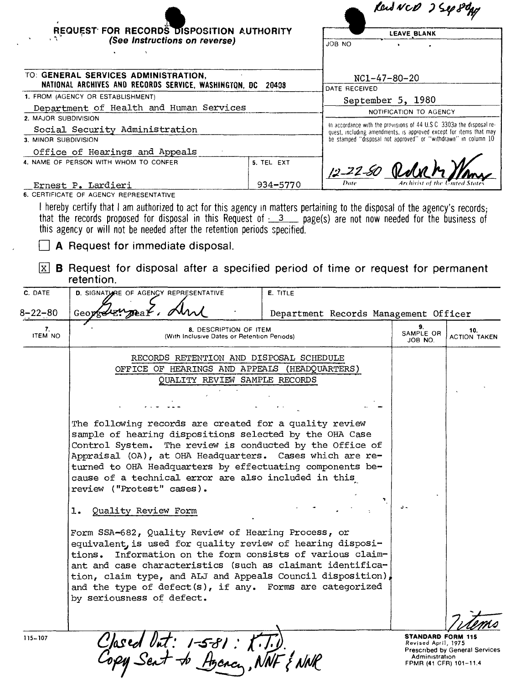|                                                                                                                                                                                                       | REQUEST FOR RECORDS DISPOSITION AUTHORITY                                                                                                                                                                                                                                                                                                                                                                  |                                                                                                                                             | Rend NCD 2500 80g<br><b>LEAVE BLANK</b>                        |                            |                            |
|-------------------------------------------------------------------------------------------------------------------------------------------------------------------------------------------------------|------------------------------------------------------------------------------------------------------------------------------------------------------------------------------------------------------------------------------------------------------------------------------------------------------------------------------------------------------------------------------------------------------------|---------------------------------------------------------------------------------------------------------------------------------------------|----------------------------------------------------------------|----------------------------|----------------------------|
| (See Instructions on reverse)                                                                                                                                                                         |                                                                                                                                                                                                                                                                                                                                                                                                            | JOB NO                                                                                                                                      |                                                                |                            |                            |
|                                                                                                                                                                                                       | TO: GENERAL SERVICES ADMINISTRATION,                                                                                                                                                                                                                                                                                                                                                                       |                                                                                                                                             |                                                                |                            |                            |
| NATIONAL ARCHIVES AND RECORDS SERVICE, WASHINGTON, DC 20408<br>1. FROM (AGENCY OR ESTABLISHMENT)<br>Department of Health and Human Services<br>2. MAJOR SUBDIVISION<br>Social Security Administration |                                                                                                                                                                                                                                                                                                                                                                                                            | NC1-47-80-20<br>DATE RECEIVED                                                                                                               |                                                                |                            |                            |
|                                                                                                                                                                                                       |                                                                                                                                                                                                                                                                                                                                                                                                            | September 5, 1980                                                                                                                           |                                                                |                            |                            |
|                                                                                                                                                                                                       |                                                                                                                                                                                                                                                                                                                                                                                                            | NOTIFICATION TO AGENCY                                                                                                                      |                                                                |                            |                            |
|                                                                                                                                                                                                       |                                                                                                                                                                                                                                                                                                                                                                                                            | In accordance with the provisions of 44 U.S.C. 3303a the disposal re-<br>quest, including amendments, is approved except for items that may |                                                                |                            |                            |
| 3. MINOR SUBDIVISION                                                                                                                                                                                  |                                                                                                                                                                                                                                                                                                                                                                                                            |                                                                                                                                             | be stamped "disposal not approved" or "withdrawn" in column 10 |                            |                            |
|                                                                                                                                                                                                       | Office of Hearings and Appeals<br>4. NAME OF PERSON WITH WHOM TO CONFER                                                                                                                                                                                                                                                                                                                                    | 5. TEL EXT                                                                                                                                  |                                                                |                            |                            |
|                                                                                                                                                                                                       |                                                                                                                                                                                                                                                                                                                                                                                                            |                                                                                                                                             | 12-22-50 Rdn                                                   |                            |                            |
|                                                                                                                                                                                                       | Ernest P. Lardieri<br>6. CERTIFICATE OF AGENCY REPRESENTATIVE                                                                                                                                                                                                                                                                                                                                              | 934-5770                                                                                                                                    |                                                                |                            |                            |
| C. DATE                                                                                                                                                                                               | A Request for immediate disposal.<br>$\lfloor x \rfloor$ <b>B</b> Request for disposal after a specified period of time or request for permanent<br>retention.<br>D. SIGNATURE OF AGENCY REPRESENTATIVE                                                                                                                                                                                                    | E. TITLE                                                                                                                                    |                                                                |                            |                            |
| $8 - 22 - 80$                                                                                                                                                                                         | Geor                                                                                                                                                                                                                                                                                                                                                                                                       |                                                                                                                                             | Department Records Management Officer                          |                            |                            |
| 7.<br><b>ITEM NO</b>                                                                                                                                                                                  | 8. DESCRIPTION OF ITEM<br>(With Inclusive Dates or Retention Periods)                                                                                                                                                                                                                                                                                                                                      |                                                                                                                                             |                                                                | 9.<br>SAMPLE OR<br>JOB NO. | 10.<br><b>ACTION TAKEN</b> |
|                                                                                                                                                                                                       | RECORDS RETENTION AND DISPOSAL SCHEDULE                                                                                                                                                                                                                                                                                                                                                                    |                                                                                                                                             |                                                                |                            |                            |
|                                                                                                                                                                                                       | OFFICE OF HEARINGS AND APPEALS (HEADQUARTERS)                                                                                                                                                                                                                                                                                                                                                              |                                                                                                                                             |                                                                |                            |                            |
|                                                                                                                                                                                                       | QUALITY REVIEW SAMPLE RECORDS                                                                                                                                                                                                                                                                                                                                                                              |                                                                                                                                             |                                                                |                            |                            |
|                                                                                                                                                                                                       |                                                                                                                                                                                                                                                                                                                                                                                                            |                                                                                                                                             |                                                                |                            |                            |
|                                                                                                                                                                                                       | The following records are created for a quality review<br>sample of hearing dispositions selected by the OHA Case<br>Control System. The review is conducted by the Office of                                                                                                                                                                                                                              |                                                                                                                                             |                                                                |                            |                            |
|                                                                                                                                                                                                       | Appraisal (OA), at OHA Headquarters. Cases which are re-<br>turned to OHA Headquarters by effectuating components be-<br>cause of a technical error are also included in this<br>review ("Protest" cases).                                                                                                                                                                                                 |                                                                                                                                             |                                                                |                            |                            |
|                                                                                                                                                                                                       | Quality Review Form<br>ı.                                                                                                                                                                                                                                                                                                                                                                                  |                                                                                                                                             |                                                                |                            |                            |
|                                                                                                                                                                                                       | Form SSA-682, Quality Review of Hearing Process, or<br>equivalent, is used for quality review of hearing disposi-<br>Information on the form consists of various claim-<br>tions.<br>ant and case characteristics (such as claimant identifica-<br>tion, claim type, and ALJ and Appeals Council disposition),<br>and the type of $defect(s)$ , if any. Forms are categorized<br>by seriousness of defect. |                                                                                                                                             |                                                                |                            |                            |
|                                                                                                                                                                                                       | Clased Out: 1-5-81: K.T.D.<br>Copy Sent to Agency, NNF & NNR                                                                                                                                                                                                                                                                                                                                               |                                                                                                                                             |                                                                |                            |                            |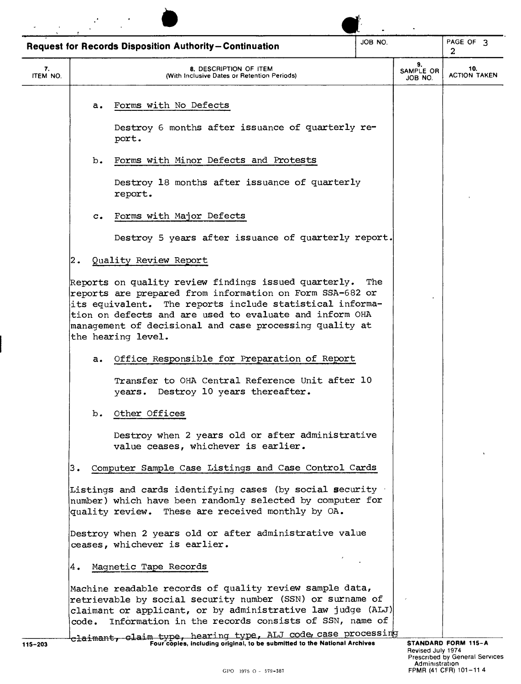|                |                | <b>Request for Records Disposition Authority-Continuation</b>                                                                            | JOB NO. |                            | PAGE OF 3<br>2             |
|----------------|----------------|------------------------------------------------------------------------------------------------------------------------------------------|---------|----------------------------|----------------------------|
| 7.<br>ITEM NO. |                | 8. DESCRIPTION OF ITEM<br>(With Inclusive Dates or Retention Periods)                                                                    |         | 9.<br>SAMPLE OR<br>JOB NO. | 10.<br><b>ACTION TAKEN</b> |
|                | a.             | Forms with No Defects                                                                                                                    |         |                            |                            |
|                |                | Destroy 6 months after issuance of quarterly re-<br>port.                                                                                |         |                            |                            |
|                | $b$ .          | Forms with Minor Defects and Protests                                                                                                    |         |                            |                            |
|                |                | Destroy 18 months after issuance of quarterly<br>report.                                                                                 |         |                            |                            |
|                | $\mathbf{c}$ . | Forms with Major Defects                                                                                                                 |         |                            |                            |
|                |                | Destroy 5 years after issuance of quarterly report.                                                                                      |         |                            |                            |
| 2.             |                | Quality Review Report                                                                                                                    |         |                            |                            |
|                |                | tion on defects and are used to evaluate and inform OHA<br>management of decisional and case processing quality at<br>the hearing level. |         |                            |                            |
|                | a.             | Office Responsible for Preparation of Report<br>Transfer to OHA Central Reference Unit after 10<br>years. Destroy 10 years thereafter.   |         |                            |                            |
|                | $b_{\bullet}$  | Other Offices                                                                                                                            |         |                            |                            |
|                |                | Destroy when 2 years old or after administrative<br>value ceases, whichever is earlier.                                                  |         |                            |                            |
| з.             |                | Computer Sample Case Listings and Case Control Cards                                                                                     |         |                            |                            |
|                |                | Listings and cards identifying cases (by social security                                                                                 |         |                            |                            |
|                |                | number) which have been randomly selected by computer for<br>quality review. These are received monthly by OA.                           |         |                            |                            |
|                |                | Destroy when 2 years old or after administrative value<br>ceases, whichever is earlier.                                                  |         |                            |                            |
| Α.             |                | Magnetic Tape Records                                                                                                                    |         |                            |                            |